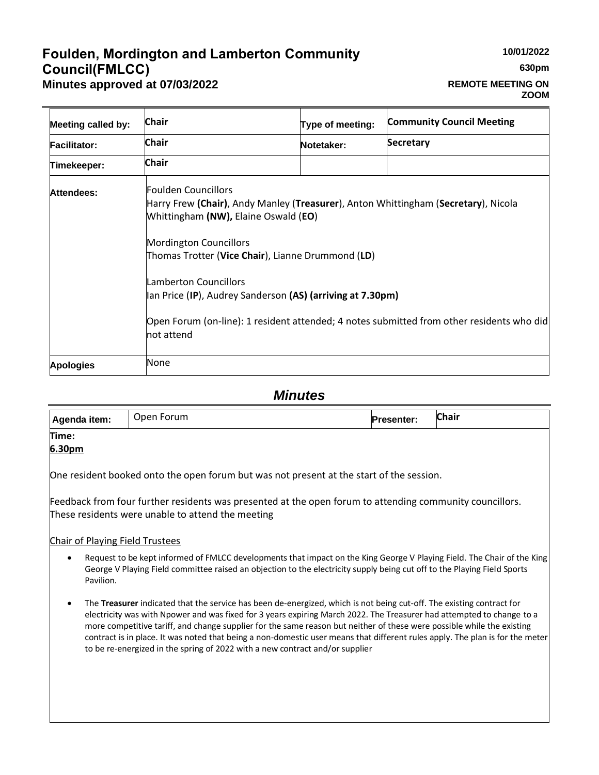# **Foulden, Mordington and Lamberton Community Council(FMLCC) Minutes approved at 07/03/2022**

# **REMOTE MEETING ON ZOOM**

| <b>Meeting called by:</b> | Chair                                                                                                                                                                                                                                                                                                                                                 | Type of meeting: | <b>Community Council Meeting</b>                                                          |
|---------------------------|-------------------------------------------------------------------------------------------------------------------------------------------------------------------------------------------------------------------------------------------------------------------------------------------------------------------------------------------------------|------------------|-------------------------------------------------------------------------------------------|
| <b>Facilitator:</b>       | <b>Chair</b>                                                                                                                                                                                                                                                                                                                                          | Notetaker:       | Secretary                                                                                 |
| Timekeeper:               | <b>Chair</b>                                                                                                                                                                                                                                                                                                                                          |                  |                                                                                           |
| <b>Attendees:</b>         | Foulden Councillors<br>Harry Frew (Chair), Andy Manley (Treasurer), Anton Whittingham (Secretary), Nicola<br>Whittingham (NW), Elaine Oswald (EO)<br><b>Mordington Councillors</b><br>Thomas Trotter ( <b>Vice Chair</b> ), Lianne Drummond (LD)<br>Lamberton Councillors<br>lan Price (IP), Audrey Sanderson (AS) (arriving at 7.30pm)<br>not attend |                  | Open Forum (on-line): 1 resident attended; 4 notes submitted from other residents who did |
| <b>Apologies</b>          | None                                                                                                                                                                                                                                                                                                                                                  |                  |                                                                                           |

# *Minutes*

| Agenda item: | Open Forum | <b>Presenter:</b> | <b>Chair</b> |
|--------------|------------|-------------------|--------------|
| Time:        |            |                   |              |
| 6.30pm       |            |                   |              |

One resident booked onto the open forum but was not present at the start of the session.

Feedback from four further residents was presented at the open forum to attending community councillors. These residents were unable to attend the meeting

#### Chair of Playing Field Trustees

- Request to be kept informed of FMLCC developments that impact on the King George V Playing Field. The Chair of the King George V Playing Field committee raised an objection to the electricity supply being cut off to the Playing Field Sports Pavilion.
- The **Treasurer** indicated that the service has been de-energized, which is not being cut-off. The existing contract for electricity was with Npower and was fixed for 3 years expiring March 2022. The Treasurer had attempted to change to a more competitive tariff, and change supplier for the same reason but neither of these were possible while the existing contract is in place. It was noted that being a non-domestic user means that different rules apply. The plan is for the meter to be re-energized in the spring of 2022 with a new contract and/or supplier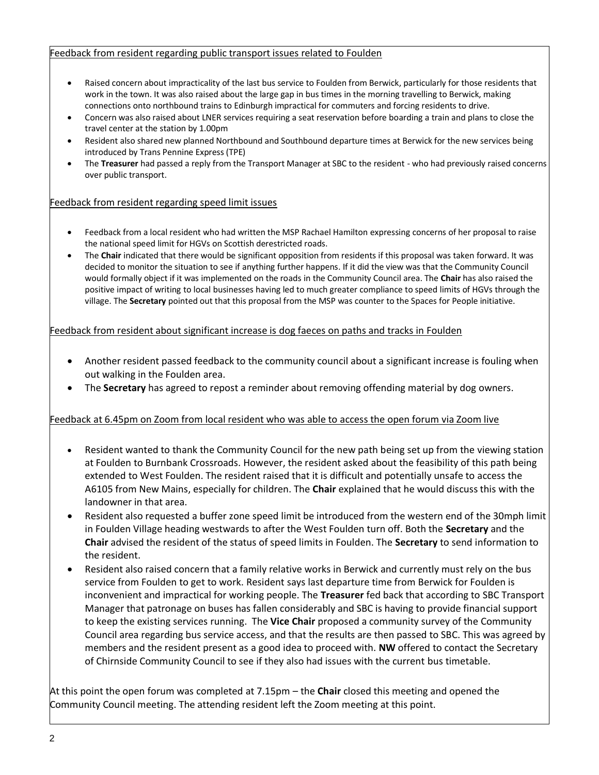#### Feedback from resident regarding public transport issues related to Foulden

- Raised concern about impracticality of the last bus service to Foulden from Berwick, particularly for those residents that work in the town. It was also raised about the large gap in bus times in the morning travelling to Berwick, making connections onto northbound trains to Edinburgh impractical for commuters and forcing residents to drive.
- Concern was also raised about LNER services requiring a seat reservation before boarding a train and plans to close the travel center at the station by 1.00pm
- Resident also shared new planned Northbound and Southbound departure times at Berwick for the new services being introduced by Trans Pennine Express (TPE)
- The **Treasurer** had passed a reply from the Transport Manager at SBC to the resident who had previously raised concerns over public transport.

#### Feedback from resident regarding speed limit issues

- Feedback from a local resident who had written the MSP Rachael Hamilton expressing concerns of her proposal to raise the national speed limit for HGVs on Scottish derestricted roads.
- The **Chair** indicated that there would be significant opposition from residents if this proposal was taken forward. It was decided to monitor the situation to see if anything further happens. If it did the view was that the Community Council would formally object if it was implemented on the roads in the Community Council area. The **Chair** has also raised the positive impact of writing to local businesses having led to much greater compliance to speed limits of HGVs through the village. The **Secretary** pointed out that this proposal from the MSP was counter to the Spaces for People initiative.

## Feedback from resident about significant increase is dog faeces on paths and tracks in Foulden

- Another resident passed feedback to the community council about a significant increase is fouling when out walking in the Foulden area.
- The **Secretary** has agreed to repost a reminder about removing offending material by dog owners.

#### Feedback at 6.45pm on Zoom from local resident who was able to access the open forum via Zoom live

- Resident wanted to thank the Community Council for the new path being set up from the viewing station at Foulden to Burnbank Crossroads. However, the resident asked about the feasibility of this path being extended to West Foulden. The resident raised that it is difficult and potentially unsafe to access the A6105 from New Mains, especially for children. The **Chair** explained that he would discuss this with the landowner in that area.
- Resident also requested a buffer zone speed limit be introduced from the western end of the 30mph limit in Foulden Village heading westwards to after the West Foulden turn off. Both the **Secretary** and the **Chair** advised the resident of the status of speed limits in Foulden. The **Secretary** to send information to the resident.
- Resident also raised concern that a family relative works in Berwick and currently must rely on the bus service from Foulden to get to work. Resident says last departure time from Berwick for Foulden is inconvenient and impractical for working people. The **Treasurer** fed back that according to SBC Transport Manager that patronage on buses has fallen considerably and SBC is having to provide financial support to keep the existing services running. The **Vice Chair** proposed a community survey of the Community Council area regarding bus service access, and that the results are then passed to SBC. This was agreed by members and the resident present as a good idea to proceed with. **NW** offered to contact the Secretary of Chirnside Community Council to see if they also had issues with the current bus timetable.

At this point the open forum was completed at 7.15pm – the **Chair** closed this meeting and opened the Community Council meeting. The attending resident left the Zoom meeting at this point.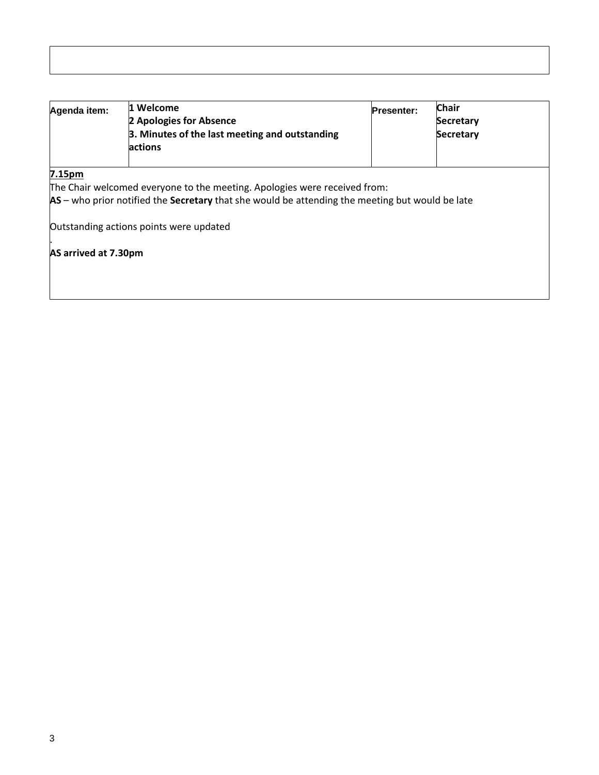| Agenda item: | 11 Welcome                                     | <b>Presenter:</b> | Chair            |  |
|--------------|------------------------------------------------|-------------------|------------------|--|
|              | 2 Apologies for Absence                        |                   | <b>Secretary</b> |  |
|              | 3. Minutes of the last meeting and outstanding |                   | <b>Secretary</b> |  |
|              | <b>lactions</b>                                |                   |                  |  |
|              |                                                |                   |                  |  |

**7.15pm**

.

The Chair welcomed everyone to the meeting. Apologies were received from:

**AS** – who prior notified the **Secretary** that she would be attending the meeting but would be late

Outstanding actions points were updated

**AS arrived at 7.30pm**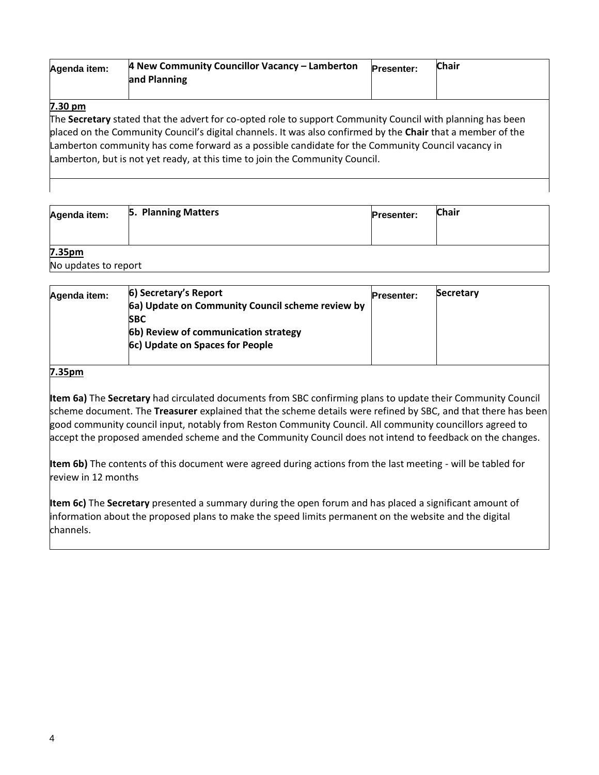| Agenda item:      | 4 New Community Councillor Vacancy – Lamberton<br>and Planning                                                                                                                                                                                                                                                                                                                                                 | <b>Presenter:</b> | <b>Chair</b> |
|-------------------|----------------------------------------------------------------------------------------------------------------------------------------------------------------------------------------------------------------------------------------------------------------------------------------------------------------------------------------------------------------------------------------------------------------|-------------------|--------------|
| $7.30 \text{ pm}$ | The Secretary stated that the advert for co-opted role to support Community Council with planning has been<br>placed on the Community Council's digital channels. It was also confirmed by the Chair that a member of the<br>Lamberton community has come forward as a possible candidate for the Community Council vacancy in<br>Lamberton, but is not yet ready, at this time to join the Community Council. |                   |              |

| Agenda item:         | 5. Planning Matters | <b>Presenter:</b> | <b>Chair</b> |
|----------------------|---------------------|-------------------|--------------|
|                      |                     |                   |              |
| 7.35pm               |                     |                   |              |
| No updates to report |                     |                   |              |

| Agenda item: | 6) Secretary's Report                            | <b>Presenter:</b> | Secretary |
|--------------|--------------------------------------------------|-------------------|-----------|
|              | 6a) Update on Community Council scheme review by |                   |           |
|              | <b>SBC</b>                                       |                   |           |
|              | 6b) Review of communication strategy             |                   |           |
|              | 6c) Update on Spaces for People                  |                   |           |
|              |                                                  |                   |           |

#### **7.35pm**

**Item 6a)** The **Secretary** had circulated documents from SBC confirming plans to update their Community Council scheme document. The **Treasurer** explained that the scheme details were refined by SBC, and that there has been good community council input, notably from Reston Community Council. All community councillors agreed to accept the proposed amended scheme and the Community Council does not intend to feedback on the changes.

**Item 6b)** The contents of this document were agreed during actions from the last meeting - will be tabled for review in 12 months

**Item 6c)** The **Secretary** presented a summary during the open forum and has placed a significant amount of information about the proposed plans to make the speed limits permanent on the website and the digital channels.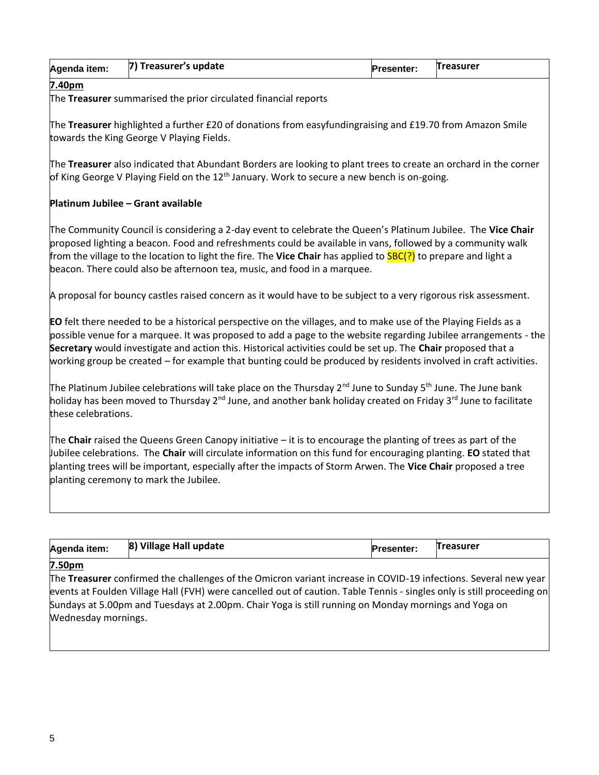| 17)<br>` Treasurer's update<br>Treasurer<br>Agenda item:<br><b>Presenter:</b> |
|-------------------------------------------------------------------------------|
|-------------------------------------------------------------------------------|

#### **7.40pm**

The **Treasurer** summarised the prior circulated financial reports

The **Treasurer** highlighted a further £20 of donations from easyfundingraising and £19.70 from Amazon Smile towards the King George V Playing Fields.

The **Treasurer** also indicated that Abundant Borders are looking to plant trees to create an orchard in the corner of King George V Playing Field on the  $12<sup>th</sup>$  January. Work to secure a new bench is on-going.

## **Platinum Jubilee – Grant available**

The Community Council is considering a 2-day event to celebrate the Queen's Platinum Jubilee. The **Vice Chair** proposed lighting a beacon. Food and refreshments could be available in vans, followed by a community walk from the village to the location to light the fire. The **Vice Chair** has applied to SBC(?) to prepare and light a beacon. There could also be afternoon tea, music, and food in a marquee.

A proposal for bouncy castles raised concern as it would have to be subject to a very rigorous risk assessment.

**EO** felt there needed to be a historical perspective on the villages, and to make use of the Playing Fields as a possible venue for a marquee. It was proposed to add a page to the website regarding Jubilee arrangements - the **Secretary** would investigate and action this. Historical activities could be set up. The **Chair** proposed that a working group be created – for example that bunting could be produced by residents involved in craft activities.

The Platinum Jubilee celebrations will take place on the Thursday 2<sup>nd</sup> June to Sunday 5<sup>th</sup> June. The June bank holiday has been moved to Thursday 2<sup>nd</sup> June, and another bank holiday created on Friday 3<sup>rd</sup> June to facilitate these celebrations.

The **Chair** raised the Queens Green Canopy initiative – it is to encourage the planting of trees as part of the Jubilee celebrations. The **Chair** will circulate information on this fund for encouraging planting. **EO** stated that planting trees will be important, especially after the impacts of Storm Arwen. The **Vice Chair** proposed a tree planting ceremony to mark the Jubilee.

| Agenda item: | 8) Village Hall update | <b>Presenter:</b> | Treasurer |
|--------------|------------------------|-------------------|-----------|
|              |                        |                   |           |

#### **7.50pm**

The **Treasurer** confirmed the challenges of the Omicron variant increase in COVID-19 infections. Several new year events at Foulden Village Hall (FVH) were cancelled out of caution. Table Tennis - singles only is still proceeding on Sundays at 5.00pm and Tuesdays at 2.00pm. Chair Yoga is still running on Monday mornings and Yoga on Wednesday mornings.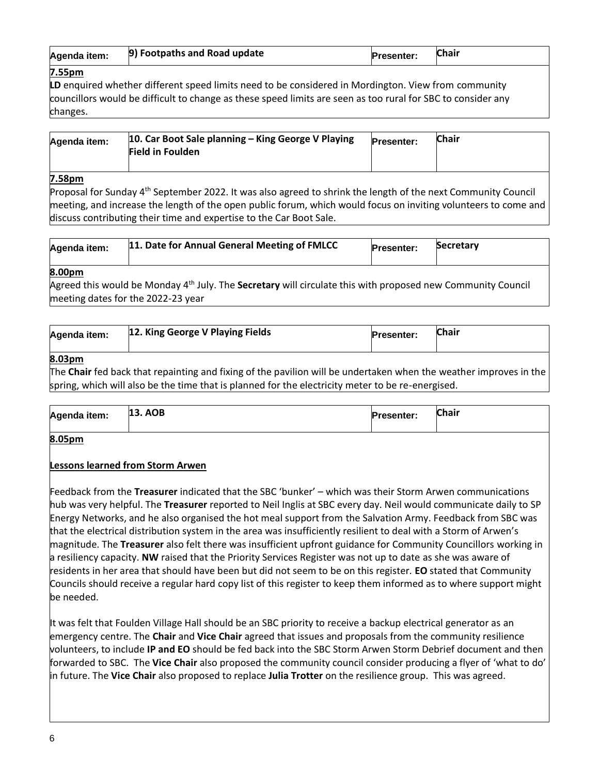| Agenda item: | 9) Footpaths and Road update | <b>Presenter:</b> | <b>Chair</b> |
|--------------|------------------------------|-------------------|--------------|
| 7 EEnm       |                              |                   |              |

## **7.55pm**

**LD** enquired whether different speed limits need to be considered in Mordington. View from community councillors would be difficult to change as these speed limits are seen as too rural for SBC to consider any changes.

| Agenda item: | 10. Car Boot Sale planning – King George V Playing | <b>Presenter:</b> | <b>Chair</b> |
|--------------|----------------------------------------------------|-------------------|--------------|
|              | <b>Field in Foulden</b>                            |                   |              |

## **7.58pm**

Proposal for Sunday 4<sup>th</sup> September 2022. It was also agreed to shrink the length of the next Community Council meeting, and increase the length of the open public forum, which would focus on inviting volunteers to come and discuss contributing their time and expertise to the Car Boot Sale.

| Agenda item:    | 11. Date for Annual General Meeting of FMLCC | <b>Presenter:</b> | Secretary |
|-----------------|----------------------------------------------|-------------------|-----------|
| $0.00 \pm 0.00$ |                                              |                   |           |

## **8.00pm**

Agreed this would be Monday 4th July. The **Secretary** will circulate this with proposed new Community Council meeting dates for the 2022-23 year

| Agenda item:    | 12. King George V Playing Fields | <b>Presenter:</b> | <b>Chair</b> |
|-----------------|----------------------------------|-------------------|--------------|
| $Q$ $\Omega$ nm |                                  |                   |              |

# **8.03pm**

The **Chair** fed back that repainting and fixing of the pavilion will be undertaken when the weather improves in the spring, which will also be the time that is planned for the electricity meter to be re-energised.

| Agenda item:    | <b>13. AOB</b> | <b>Presenter:</b> | <b>Chair</b> |
|-----------------|----------------|-------------------|--------------|
| $0.05 \pm 0.02$ |                |                   |              |

#### **8.05pm**

# **Lessons learned from Storm Arwen**

Feedback from the **Treasurer** indicated that the SBC 'bunker' – which was their Storm Arwen communications hub was very helpful. The **Treasurer** reported to Neil Inglis at SBC every day. Neil would communicate daily to SP Energy Networks, and he also organised the hot meal support from the Salvation Army. Feedback from SBC was that the electrical distribution system in the area was insufficiently resilient to deal with a Storm of Arwen's magnitude. The **Treasurer** also felt there was insufficient upfront guidance for Community Councillors working in a resiliency capacity. **NW** raised that the Priority Services Register was not up to date as she was aware of residents in her area that should have been but did not seem to be on this register. **EO** stated that Community Councils should receive a regular hard copy list of this register to keep them informed as to where support might be needed.

It was felt that Foulden Village Hall should be an SBC priority to receive a backup electrical generator as an emergency centre. The **Chair** and **Vice Chair** agreed that issues and proposals from the community resilience volunteers, to include **IP and EO** should be fed back into the SBC Storm Arwen Storm Debrief document and then forwarded to SBC. The **Vice Chair** also proposed the community council consider producing a flyer of 'what to do' in future. The **Vice Chair** also proposed to replace **Julia Trotter** on the resilience group. This was agreed.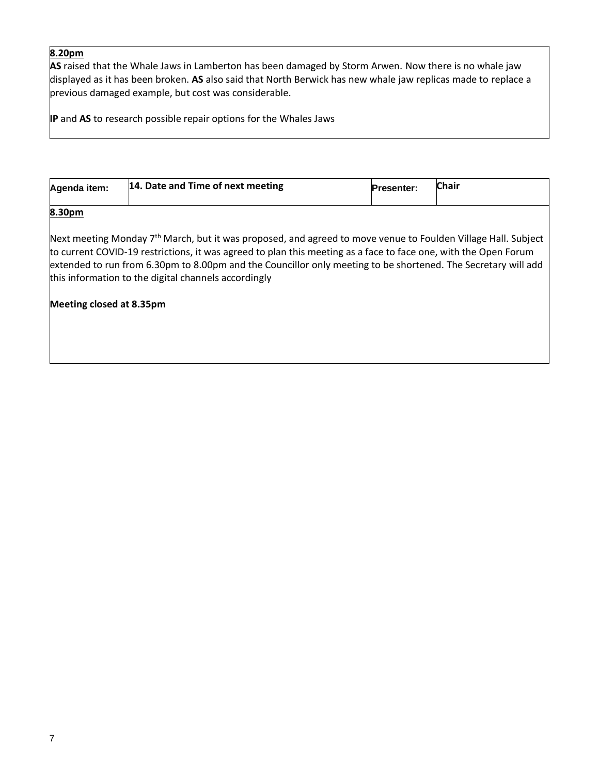## **8.20pm**

**AS** raised that the Whale Jaws in Lamberton has been damaged by Storm Arwen. Now there is no whale jaw displayed as it has been broken. **AS** also said that North Berwick has new whale jaw replicas made to replace a previous damaged example, but cost was considerable.

**IP** and **AS** to research possible repair options for the Whales Jaws

| Agenda item: | 14. Date and Time of next meeting | <b>Presenter:</b> | <b>Chair</b> |
|--------------|-----------------------------------|-------------------|--------------|
| ---          |                                   |                   |              |

### **8.30pm**

Next meeting Monday 7<sup>th</sup> March, but it was proposed, and agreed to move venue to Foulden Village Hall. Subject to current COVID-19 restrictions, it was agreed to plan this meeting as a face to face one, with the Open Forum extended to run from 6.30pm to 8.00pm and the Councillor only meeting to be shortened. The Secretary will add this information to the digital channels accordingly

#### **Meeting closed at 8.35pm**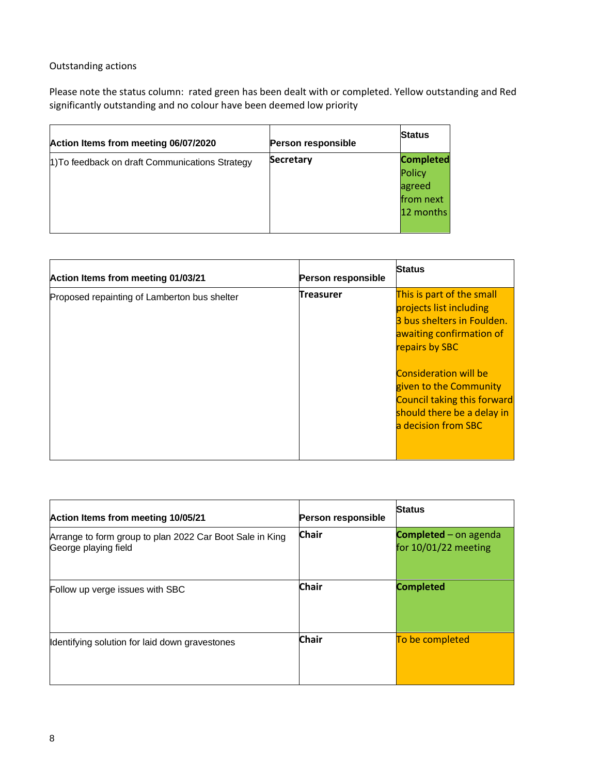# Outstanding actions

Please note the status column: rated green has been dealt with or completed. Yellow outstanding and Red significantly outstanding and no colour have been deemed low priority

| Action Items from meeting 06/07/2020            | <b>Person responsible</b> | <b>Status</b>                                                  |
|-------------------------------------------------|---------------------------|----------------------------------------------------------------|
| 1) To feedback on draft Communications Strategy | Secretary                 | <b>Completed</b><br>Policy<br>agreed<br>from next<br>12 months |

| Action Items from meeting 01/03/21           | Person responsible | <b>Status</b>                                                                                                                                                                                                                                                                  |
|----------------------------------------------|--------------------|--------------------------------------------------------------------------------------------------------------------------------------------------------------------------------------------------------------------------------------------------------------------------------|
| Proposed repainting of Lamberton bus shelter | Treasurer          | This is part of the small<br>projects list including<br>3 bus shelters in Foulden.<br>awaiting confirmation of<br>repairs by SBC<br><b>Consideration will be</b><br>given to the Community<br>Council taking this forward<br>should there be a delay in<br>a decision from SBC |

| Action Items from meeting 10/05/21                                               | Person responsible | <b>Status</b>                                 |
|----------------------------------------------------------------------------------|--------------------|-----------------------------------------------|
| Arrange to form group to plan 2022 Car Boot Sale in King<br>George playing field | <b>Chair</b>       | Completed - on agenda<br>for 10/01/22 meeting |
| Follow up verge issues with SBC                                                  | <b>Chair</b>       | <b>Completed</b>                              |
| Identifying solution for laid down gravestones                                   | <b>Chair</b>       | To be completed                               |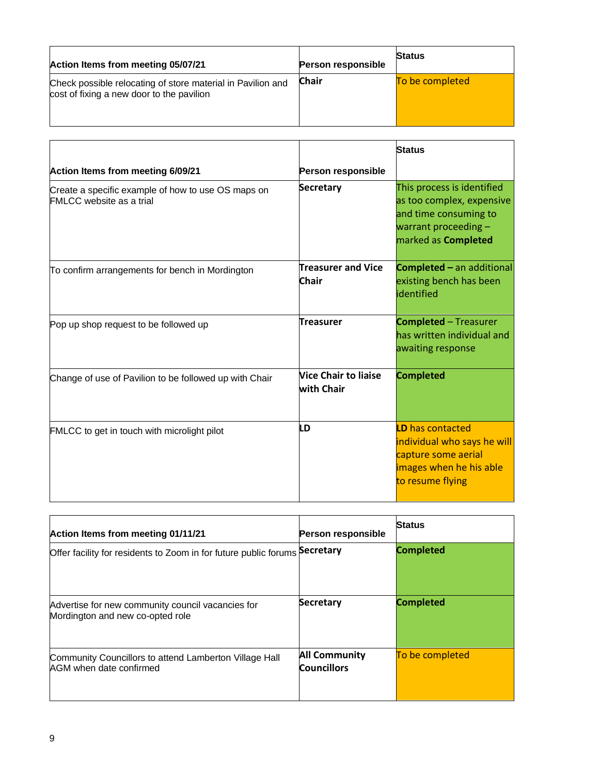| Action Items from meeting 05/07/21                                                                       | <b>Person responsible</b> | <b>Status</b>   |
|----------------------------------------------------------------------------------------------------------|---------------------------|-----------------|
| Check possible relocating of store material in Pavilion and<br>cost of fixing a new door to the pavilion | <b>Chair</b>              | To be completed |

|                                                                                       |                                                  | <b>Status</b>                                                                                                                            |
|---------------------------------------------------------------------------------------|--------------------------------------------------|------------------------------------------------------------------------------------------------------------------------------------------|
| Action Items from meeting 6/09/21                                                     | Person responsible                               |                                                                                                                                          |
| Create a specific example of how to use OS maps on<br><b>FMLCC</b> website as a trial | Secretary                                        | This process is identified<br>as too complex, expensive<br>and time consuming to<br>warrant proceeding $-$<br>marked as <b>Completed</b> |
| To confirm arrangements for bench in Mordington                                       | <b>Treasurer and Vice</b><br>Chair               | <b>Completed</b> - an additional<br>existing bench has been<br>identified                                                                |
| Pop up shop request to be followed up                                                 | <b>Treasurer</b>                                 | <b>Completed</b> - Treasurer<br>has written individual and<br>awaiting response                                                          |
| Change of use of Pavilion to be followed up with Chair                                | <b>Nice Chair to liaise</b><br><b>with Chair</b> | <b>Completed</b>                                                                                                                         |
| FMLCC to get in touch with microlight pilot                                           | LD                                               | <b>LD</b> has contacted<br>individual who says he will<br>capture some aerial<br>images when he his able<br>to resume flying             |

| Action Items from meeting 01/11/21                                                    | <b>Person responsible</b>                  | <b>Status</b>    |
|---------------------------------------------------------------------------------------|--------------------------------------------|------------------|
| Offer facility for residents to Zoom in for future public forums Secretary            |                                            | <b>Completed</b> |
| Advertise for new community council vacancies for<br>Mordington and new co-opted role | <b>Secretary</b>                           | <b>Completed</b> |
| Community Councillors to attend Lamberton Village Hall<br>AGM when date confirmed     | <b>All Community</b><br><b>Councillors</b> | To be completed  |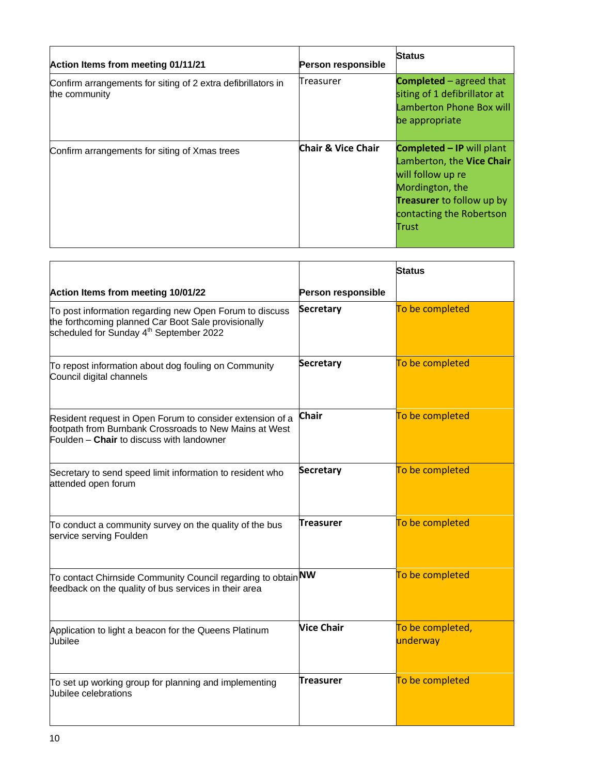| Action Items from meeting 01/11/21                                            | <b>Person responsible</b>     | <b>Status</b>                                                                                                                                                                  |
|-------------------------------------------------------------------------------|-------------------------------|--------------------------------------------------------------------------------------------------------------------------------------------------------------------------------|
| Confirm arrangements for siting of 2 extra defibrillators in<br>the community | lTreasurer                    | <b>Completed</b> $-$ agreed that<br>siting of 1 defibrillator at<br>Lamberton Phone Box will<br>be appropriate                                                                 |
| Confirm arrangements for siting of Xmas trees                                 | <b>Chair &amp; Vice Chair</b> | <b>Completed – IP</b> will plant<br>Lamberton, the Vice Chair<br>will follow up re<br>Mordington, the<br><b>Treasurer</b> to follow up by<br>contacting the Robertson<br>Trust |

|                                                                                                                                                                       |                    | <b>Status</b>                |
|-----------------------------------------------------------------------------------------------------------------------------------------------------------------------|--------------------|------------------------------|
| Action Items from meeting 10/01/22                                                                                                                                    | Person responsible |                              |
| To post information regarding new Open Forum to discuss<br>the forthcoming planned Car Boot Sale provisionally<br>scheduled for Sunday 4 <sup>th</sup> September 2022 | Secretary          | To be completed              |
| To repost information about dog fouling on Community<br>Council digital channels                                                                                      | <b>Secretary</b>   | To be completed              |
| Resident request in Open Forum to consider extension of a<br>footpath from Burnbank Crossroads to New Mains at West<br>Foulden - Chair to discuss with landowner      | <b>Chair</b>       | To be completed              |
| Secretary to send speed limit information to resident who<br>attended open forum                                                                                      | <b>Secretary</b>   | To be completed              |
| To conduct a community survey on the quality of the bus<br>service serving Foulden                                                                                    | Treasurer          | To be completed              |
| To contact Chirnside Community Council regarding to obtain <b>NW</b><br>feedback on the quality of bus services in their area                                         |                    | To be completed              |
| Application to light a beacon for the Queens Platinum<br>Jubilee                                                                                                      | <b>Vice Chair</b>  | To be completed,<br>underway |
| To set up working group for planning and implementing<br>Jubilee celebrations                                                                                         | <b>Treasurer</b>   | To be completed              |